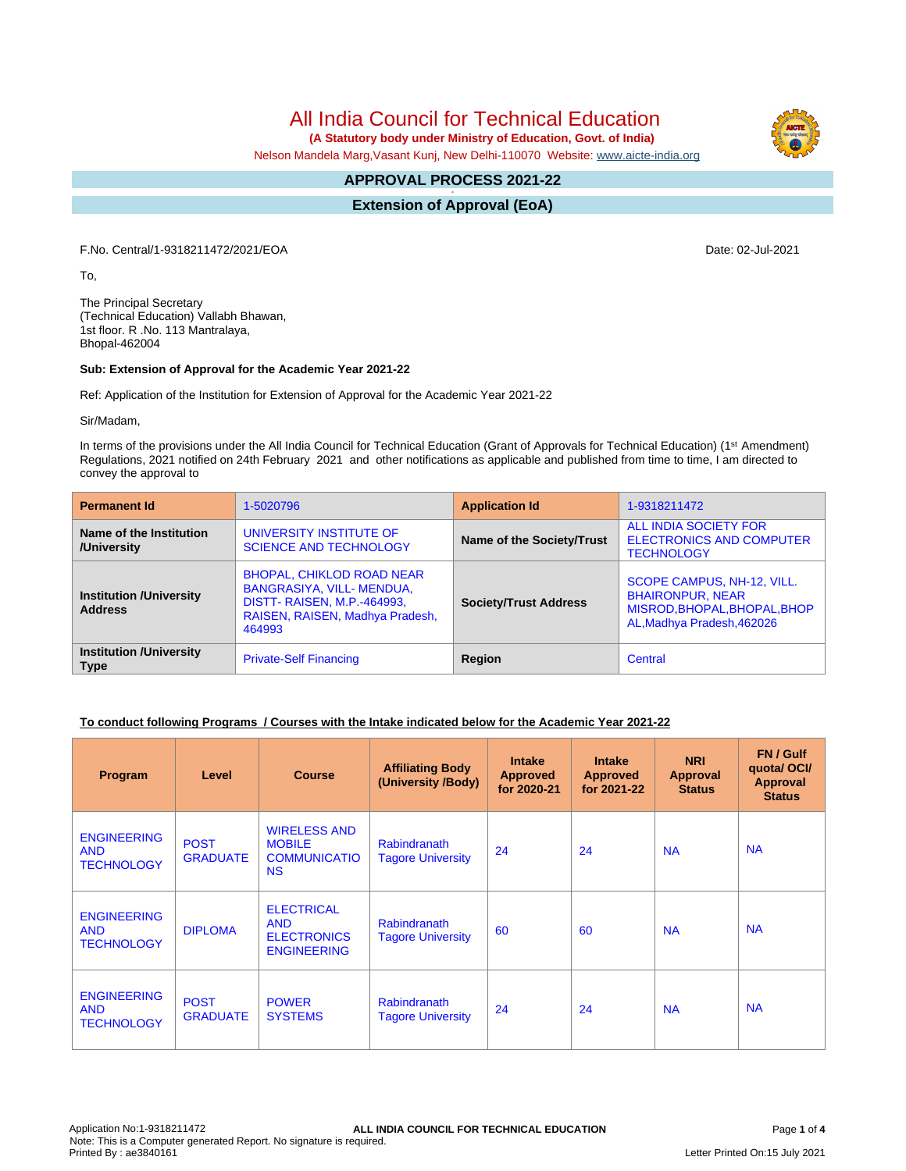All India Council for Technical Education

 **(A Statutory body under Ministry of Education, Govt. of India)**

Nelson Mandela Marg,Vasant Kunj, New Delhi-110070 Website: [www.aicte-india.org](http://www.aicte-india.org)

#### **APPROVAL PROCESS 2021-22 -**

**Extension of Approval (EoA)**

F.No. Central/1-9318211472/2021/EOA Date: 02-Jul-2021

To,

The Principal Secretary (Technical Education) Vallabh Bhawan, 1st floor. R .No. 113 Mantralaya, Bhopal-462004

#### **Sub: Extension of Approval for the Academic Year 2021-22**

Ref: Application of the Institution for Extension of Approval for the Academic Year 2021-22

Sir/Madam,

In terms of the provisions under the All India Council for Technical Education (Grant of Approvals for Technical Education) (1st Amendment) Regulations, 2021 notified on 24th February 2021 and other notifications as applicable and published from time to time, I am directed to convey the approval to

| <b>Permanent Id</b>                              | 1-5020796                                                                                                                                       | <b>Application Id</b>        | 1-9318211472                                                                                                        |  |
|--------------------------------------------------|-------------------------------------------------------------------------------------------------------------------------------------------------|------------------------------|---------------------------------------------------------------------------------------------------------------------|--|
| Name of the Institution<br>/University           | UNIVERSITY INSTITUTE OF<br><b>SCIENCE AND TECHNOLOGY</b>                                                                                        | Name of the Society/Trust    | ALL INDIA SOCIETY FOR<br><b>ELECTRONICS AND COMPUTER</b><br><b>TECHNOLOGY</b>                                       |  |
| <b>Institution /University</b><br><b>Address</b> | <b>BHOPAL, CHIKLOD ROAD NEAR</b><br>BANGRASIYA, VILL-MENDUA,<br><b>DISTT- RAISEN, M.P.-464993,</b><br>RAISEN, RAISEN, Madhya Pradesh,<br>464993 | <b>Society/Trust Address</b> | SCOPE CAMPUS, NH-12, VILL.<br><b>BHAIRONPUR, NEAR</b><br>MISROD, BHOPAL, BHOPAL, BHOP<br>AL, Madhya Pradesh, 462026 |  |
| <b>Institution /University</b><br><b>Type</b>    | <b>Private-Self Financing</b>                                                                                                                   | Region                       | Central                                                                                                             |  |

## **To conduct following Programs / Courses with the Intake indicated below for the Academic Year 2021-22**

| Program                                               | Level                          | <b>Course</b>                                                               | <b>Affiliating Body</b><br>(University /Body)   | <b>Intake</b><br><b>Approved</b><br>for 2020-21 | <b>Intake</b><br><b>Approved</b><br>for 2021-22 | <b>NRI</b><br><b>Approval</b><br><b>Status</b> | FN / Gulf<br>quotal OCI/<br><b>Approval</b><br><b>Status</b> |
|-------------------------------------------------------|--------------------------------|-----------------------------------------------------------------------------|-------------------------------------------------|-------------------------------------------------|-------------------------------------------------|------------------------------------------------|--------------------------------------------------------------|
| <b>ENGINEERING</b><br><b>AND</b><br><b>TECHNOLOGY</b> | <b>POST</b><br><b>GRADUATE</b> | <b>WIRELESS AND</b><br><b>MOBILE</b><br><b>COMMUNICATIO</b><br><b>NS</b>    | <b>Rabindranath</b><br><b>Tagore University</b> | 24                                              | 24                                              | <b>NA</b>                                      | <b>NA</b>                                                    |
| <b>ENGINEERING</b><br><b>AND</b><br><b>TECHNOLOGY</b> | <b>DIPLOMA</b>                 | <b>ELECTRICAL</b><br><b>AND</b><br><b>ELECTRONICS</b><br><b>ENGINEERING</b> | <b>Rabindranath</b><br><b>Tagore University</b> | 60                                              | 60                                              | <b>NA</b>                                      | <b>NA</b>                                                    |
| <b>ENGINEERING</b><br><b>AND</b><br><b>TECHNOLOGY</b> | <b>POST</b><br><b>GRADUATE</b> | <b>POWER</b><br><b>SYSTEMS</b>                                              | <b>Rabindranath</b><br><b>Tagore University</b> | 24                                              | 24                                              | <b>NA</b>                                      | <b>NA</b>                                                    |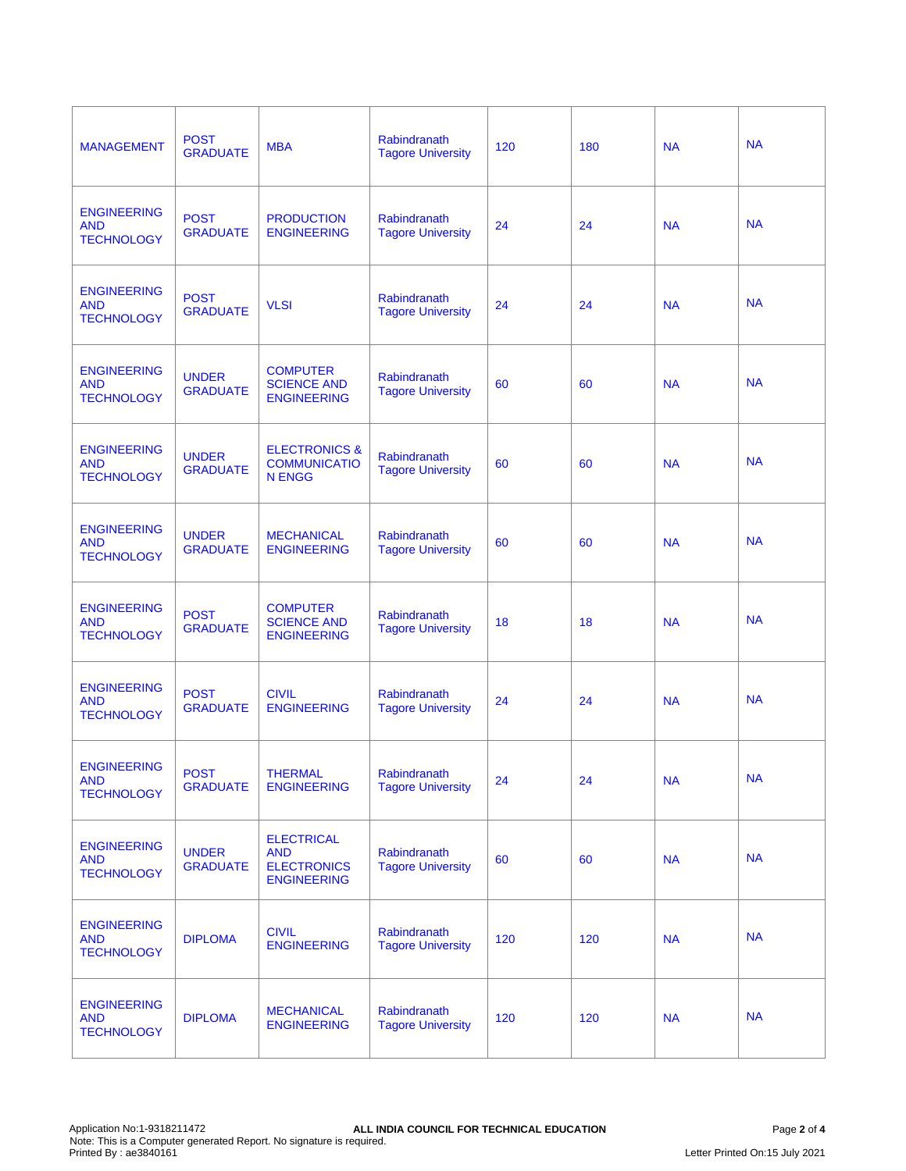| <b>MANAGEMENT</b>                                     | <b>POST</b><br><b>GRADUATE</b>  | <b>MBA</b>                                                                  | Rabindranath<br><b>Tagore University</b>        | 120 | 180 | <b>NA</b> | <b>NA</b> |
|-------------------------------------------------------|---------------------------------|-----------------------------------------------------------------------------|-------------------------------------------------|-----|-----|-----------|-----------|
| <b>ENGINEERING</b><br><b>AND</b><br><b>TECHNOLOGY</b> | <b>POST</b><br><b>GRADUATE</b>  | <b>PRODUCTION</b><br><b>ENGINEERING</b>                                     | Rabindranath<br><b>Tagore University</b>        | 24  | 24  | <b>NA</b> | <b>NA</b> |
| <b>ENGINEERING</b><br><b>AND</b><br><b>TECHNOLOGY</b> | <b>POST</b><br><b>GRADUATE</b>  | <b>VLSI</b>                                                                 | <b>Rabindranath</b><br><b>Tagore University</b> | 24  | 24  | <b>NA</b> | <b>NA</b> |
| <b>ENGINEERING</b><br><b>AND</b><br><b>TECHNOLOGY</b> | <b>UNDER</b><br><b>GRADUATE</b> | <b>COMPUTER</b><br><b>SCIENCE AND</b><br><b>ENGINEERING</b>                 | Rabindranath<br><b>Tagore University</b>        | 60  | 60  | <b>NA</b> | <b>NA</b> |
| <b>ENGINEERING</b><br><b>AND</b><br><b>TECHNOLOGY</b> | <b>UNDER</b><br><b>GRADUATE</b> | <b>ELECTRONICS &amp;</b><br><b>COMMUNICATIO</b><br><b>N ENGG</b>            | Rabindranath<br><b>Tagore University</b>        | 60  | 60  | <b>NA</b> | <b>NA</b> |
| <b>ENGINEERING</b><br><b>AND</b><br><b>TECHNOLOGY</b> | <b>UNDER</b><br><b>GRADUATE</b> | <b>MECHANICAL</b><br><b>ENGINEERING</b>                                     | Rabindranath<br><b>Tagore University</b>        | 60  | 60  | <b>NA</b> | <b>NA</b> |
| <b>ENGINEERING</b><br><b>AND</b><br><b>TECHNOLOGY</b> | <b>POST</b><br><b>GRADUATE</b>  | <b>COMPUTER</b><br><b>SCIENCE AND</b><br><b>ENGINEERING</b>                 | Rabindranath<br><b>Tagore University</b>        | 18  | 18  | <b>NA</b> | <b>NA</b> |
| <b>ENGINEERING</b><br><b>AND</b><br><b>TECHNOLOGY</b> | <b>POST</b><br><b>GRADUATE</b>  | <b>CIVIL</b><br><b>ENGINEERING</b>                                          | Rabindranath<br><b>Tagore University</b>        | 24  | 24  | <b>NA</b> | <b>NA</b> |
| <b>ENGINEERING</b><br><b>AND</b><br><b>TECHNOLOGY</b> | <b>POST</b><br><b>GRADUATE</b>  | THERMAL<br><b>ENGINEERING</b>                                               | Rabindranath<br><b>Tagore University</b>        | 24  | 24  | <b>NA</b> | <b>NA</b> |
| <b>ENGINEERING</b><br><b>AND</b><br><b>TECHNOLOGY</b> | <b>UNDER</b><br><b>GRADUATE</b> | <b>ELECTRICAL</b><br><b>AND</b><br><b>ELECTRONICS</b><br><b>ENGINEERING</b> | Rabindranath<br><b>Tagore University</b>        | 60  | 60  | <b>NA</b> | <b>NA</b> |
| <b>ENGINEERING</b><br><b>AND</b><br><b>TECHNOLOGY</b> | <b>DIPLOMA</b>                  | <b>CIVIL</b><br><b>ENGINEERING</b>                                          | Rabindranath<br><b>Tagore University</b>        | 120 | 120 | <b>NA</b> | <b>NA</b> |
| <b>ENGINEERING</b><br><b>AND</b><br><b>TECHNOLOGY</b> | <b>DIPLOMA</b>                  | <b>MECHANICAL</b><br><b>ENGINEERING</b>                                     | Rabindranath<br><b>Tagore University</b>        | 120 | 120 | <b>NA</b> | <b>NA</b> |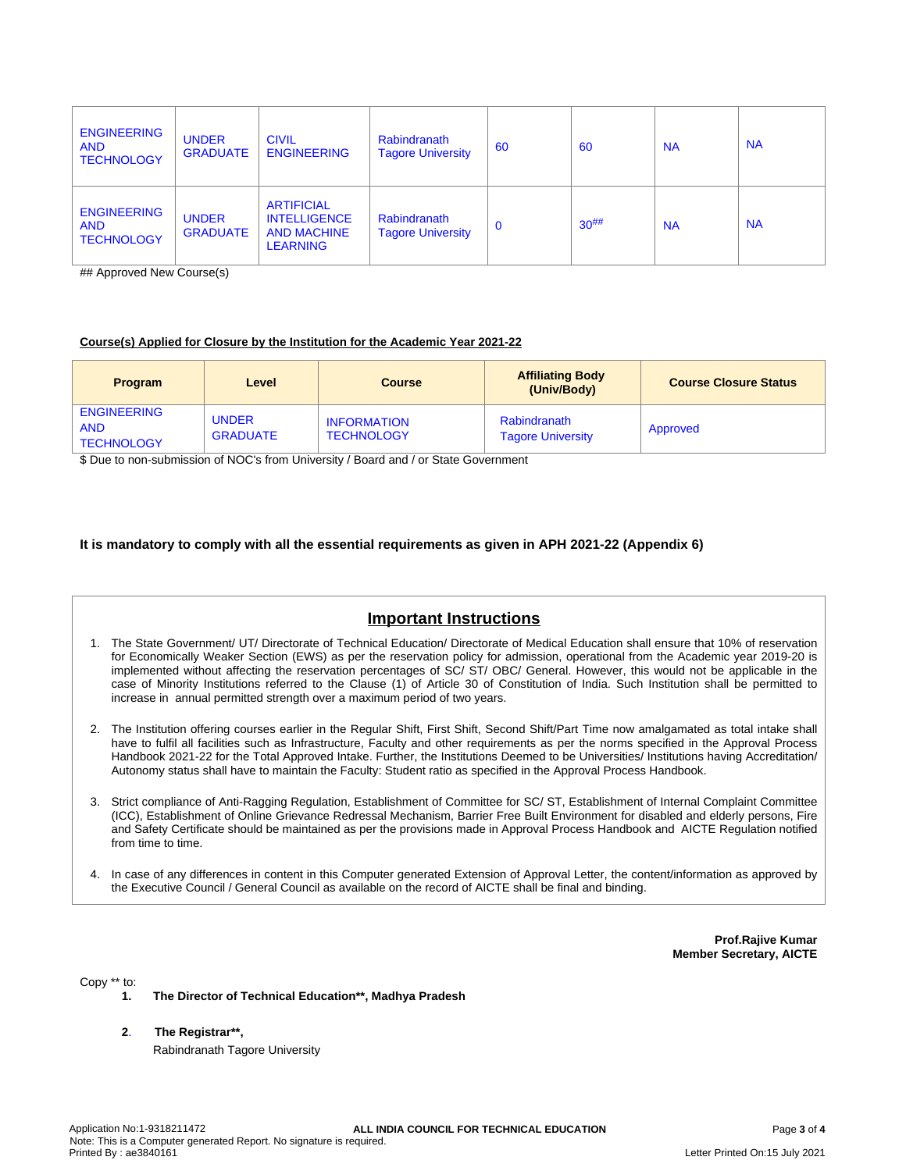| <b>ENGINEERING</b><br><b>AND</b><br><b>TECHNOLOGY</b> | <b>UNDER</b><br><b>GRADUATE</b> | <b>CIVIL</b><br><b>ENGINEERING</b>                                                | Rabindranath<br><b>Tagore University</b> | 60          | -60        | <b>NA</b> | <b>NA</b> |
|-------------------------------------------------------|---------------------------------|-----------------------------------------------------------------------------------|------------------------------------------|-------------|------------|-----------|-----------|
| <b>ENGINEERING</b><br><b>AND</b><br><b>TECHNOLOGY</b> | <b>UNDER</b><br><b>GRADUATE</b> | <b>ARTIFICIAL</b><br><b>INTELLIGENCE</b><br><b>AND MACHINE</b><br><b>LEARNING</b> | Rabindranath<br><b>Tagore University</b> | $\mathbf 0$ | $30^{#}\%$ | <b>NA</b> | <b>NA</b> |

## Approved New Course(s)

### **Course(s) Applied for Closure by the Institution for the Academic Year 2021-22**

| <b>Program</b>                                        | Level                           | <b>Course</b>                           | <b>Affiliating Body</b><br>(Univ/Body)   | <b>Course Closure Status</b> |
|-------------------------------------------------------|---------------------------------|-----------------------------------------|------------------------------------------|------------------------------|
| <b>ENGINEERING</b><br><b>AND</b><br><b>TECHNOLOGY</b> | <b>UNDER</b><br><b>GRADUATE</b> | <b>INFORMATION</b><br><b>TECHNOLOGY</b> | Rabindranath<br><b>Tagore University</b> | Approved                     |

\$ Due to non-submission of NOC's from University / Board and / or State Government

# **It is mandatory to comply with all the essential requirements as given in APH 2021-22 (Appendix 6)**

# **Important Instructions**

- 1. The State Government/ UT/ Directorate of Technical Education/ Directorate of Medical Education shall ensure that 10% of reservation for Economically Weaker Section (EWS) as per the reservation policy for admission, operational from the Academic year 2019-20 is implemented without affecting the reservation percentages of SC/ ST/ OBC/ General. However, this would not be applicable in the case of Minority Institutions referred to the Clause (1) of Article 30 of Constitution of India. Such Institution shall be permitted to increase in annual permitted strength over a maximum period of two years.
- 2. The Institution offering courses earlier in the Regular Shift, First Shift, Second Shift/Part Time now amalgamated as total intake shall have to fulfil all facilities such as Infrastructure, Faculty and other requirements as per the norms specified in the Approval Process Handbook 2021-22 for the Total Approved Intake. Further, the Institutions Deemed to be Universities/ Institutions having Accreditation/ Autonomy status shall have to maintain the Faculty: Student ratio as specified in the Approval Process Handbook.
- 3. Strict compliance of Anti-Ragging Regulation, Establishment of Committee for SC/ ST, Establishment of Internal Complaint Committee (ICC), Establishment of Online Grievance Redressal Mechanism, Barrier Free Built Environment for disabled and elderly persons, Fire and Safety Certificate should be maintained as per the provisions made in Approval Process Handbook and AICTE Regulation notified from time to time.
- 4. In case of any differences in content in this Computer generated Extension of Approval Letter, the content/information as approved by the Executive Council / General Council as available on the record of AICTE shall be final and binding.

**Prof.Rajive Kumar Member Secretary, AICTE**

Copy \*\* to:

- **1. The Director of Technical Education\*\*, Madhya Pradesh**
- **2**. **The Registrar\*\*,** Rabindranath Tagore University